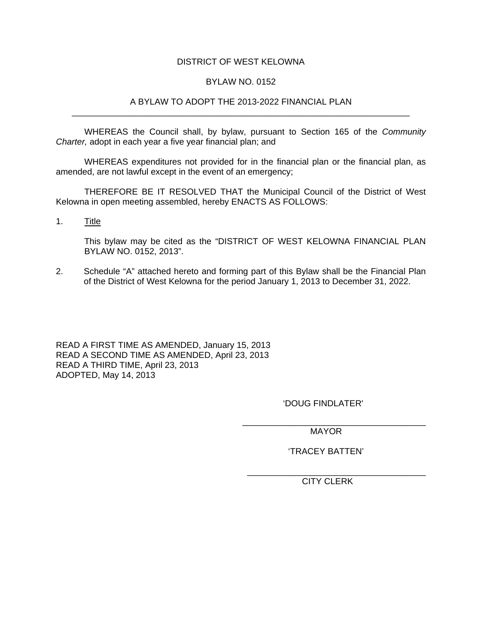## DISTRICT OF WEST KELOWNA

### BYLAW NO. 0152

### A BYLAW TO ADOPT THE 2013-2022 FINANCIAL PLAN \_\_\_\_\_\_\_\_\_\_\_\_\_\_\_\_\_\_\_\_\_\_\_\_\_\_\_\_\_\_\_\_\_\_\_\_\_\_\_\_\_\_\_\_\_\_\_\_\_\_\_\_\_\_\_\_\_\_\_\_\_\_\_\_\_\_\_\_\_\_

WHEREAS the Council shall, by bylaw, pursuant to Section 165 of the *Community Charter,* adopt in each year a five year financial plan; and

WHEREAS expenditures not provided for in the financial plan or the financial plan, as amended, are not lawful except in the event of an emergency;

 THEREFORE BE IT RESOLVED THAT the Municipal Council of the District of West Kelowna in open meeting assembled, hereby ENACTS AS FOLLOWS:

1. Title

This bylaw may be cited as the "DISTRICT OF WEST KELOWNA FINANCIAL PLAN BYLAW NO. 0152, 2013".

2. Schedule "A" attached hereto and forming part of this Bylaw shall be the Financial Plan of the District of West Kelowna for the period January 1, 2013 to December 31, 2022.

READ A FIRST TIME AS AMENDED, January 15, 2013 READ A SECOND TIME AS AMENDED, April 23, 2013 READ A THIRD TIME, April 23, 2013 ADOPTED, May 14, 2013

'DOUG FINDLATER'

\_\_\_\_\_\_\_\_\_\_\_\_\_\_\_\_\_\_\_\_\_\_\_\_\_\_\_\_\_\_\_\_\_\_\_\_\_\_ MAYOR

'TRACEY BATTEN'

\_\_\_\_\_\_\_\_\_\_\_\_\_\_\_\_\_\_\_\_\_\_\_\_\_\_\_\_\_\_\_\_\_\_\_\_\_ CITY CLERK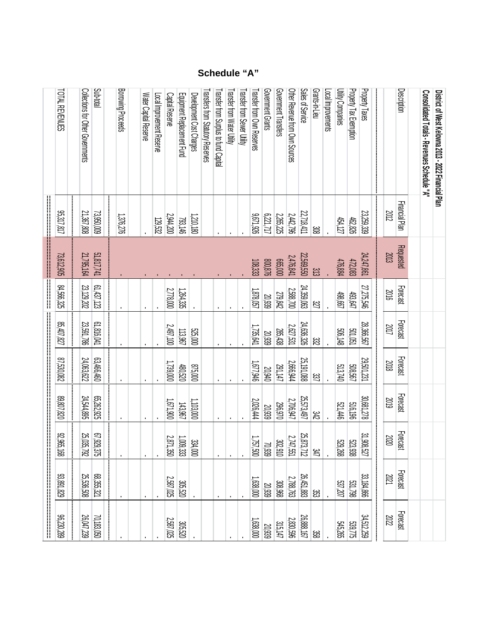#### Borrowing ProceedsGovernment Grants Government Transfers Other Revenue from Own Sources Sales of ServiceGrants-in-LieuLocal ImprovementsUtility Companies Water Capital Reserve Local Improvement Reserve Equipment Replacement Fund Development Cost ChargesTransfers from Statutory Reserves Transfer from Surplus to fund CapitalTransfer from Water Utility Transfer from Water UtilityTransfer from Sewer UtilityTransfer from Own Reserves Transfer from Own ReservesGovernment GrantsGovernment TransfersOther Revenue from Own Sources **Transfers from Statutory Reserves** Transfer from Surplus to fund Capita Transfer from Sewer Utility Equipment Replacement Fund Development Cost Charges Water Capital Reserve Local Improvement Reserve Capital Reserve

| Transfer from Surplus to fund Capital<br>Other Revenue from Own Sources<br>Sales of Service<br>Grants-in-Lieu<br>Local Improvements<br><b>Utility Companies</b><br>Property Tax Exemption<br>Property Taxes<br>Description<br>Transfers from Statutory Reserves<br>Consolidated Totals - Revenues Schedule "A"<br>District of West Kelowna 2013 - 2022 Financial Plan<br>Capital Reserve<br>Equipment Replacement Fund<br>Development Cost Charges<br>Water Capital Reserve<br>Local Improvement Reserve<br>Financial Plan<br>21,367,808<br>2012<br>23,259,339<br>23,950,009<br>22,718,411<br>2,265,225<br>2,442,796<br>926'129'6<br>71,717<br>2,944,200<br>1,376,276<br>1,210,180<br>462,826<br>793,146<br>454,127<br>129,532<br>8g<br><b>Requested</b><br>51,817,741<br>2013<br>21,795,164<br>24,247,861<br>22,569,550<br>2,476,841<br>665,000<br>472,083<br>800,876<br>476,884<br>108,333<br>$\approx$<br>61,437,123<br>27,275,546<br>23,129,202<br>24,359,063<br><b>Forecast</b><br>2,588,700<br>2,778,000<br>1,264,335<br>1,878,057<br>2016<br>498,667<br>279,842<br>493,647<br>20,939<br>$\overline{\mathbb{Z}}$<br><b>Forecast</b><br>61,816,041<br>23,591,786<br>24,636,326<br>28,366,567<br>2017<br>2627,531<br>2,497,100<br>1,735,641<br>285,438<br>501,051<br>506,148<br>113,967<br>525,000<br>20,939<br>ಜ<br>Forecast<br>24,063,622<br>63,466,460<br>29,501,231<br>25, 191,088<br>2,666,944<br>2018<br>1,739,000<br>916/79.18<br><b>199305</b><br>291,147<br>513,740<br>000918<br>480,520<br>20,940<br>337<br>Forecast<br>65,262,925<br>30,681,278<br>24,544,895<br>25,573,497<br>2019<br>2,706,947<br>2,026,444<br>1,671,900<br>1,103,000<br>206,970<br>516,196<br>521,446<br>143,967<br>20,939<br>ЭÆ<br>Forecast | 93,891,829               | 92, 965, 168 | 89,807,820 | 80'085'18 | 85,407,827 | 84,566,325 | 73,612,905 | <br>  <br>  <br>  <br>  <br>95,317,817 | TOTAL REVENUES                                 |
|--------------------------------------------------------------------------------------------------------------------------------------------------------------------------------------------------------------------------------------------------------------------------------------------------------------------------------------------------------------------------------------------------------------------------------------------------------------------------------------------------------------------------------------------------------------------------------------------------------------------------------------------------------------------------------------------------------------------------------------------------------------------------------------------------------------------------------------------------------------------------------------------------------------------------------------------------------------------------------------------------------------------------------------------------------------------------------------------------------------------------------------------------------------------------------------------------------------------------------------------------------------------------------------------------------------------------------------------------------------------------------------------------------------------------------------------------------------------------------------------------------------------------------------------------------------------------------------------------------------------------------------------------------------------------------------------------------------------------------|--------------------------|--------------|------------|-----------|------------|------------|------------|----------------------------------------|------------------------------------------------|
|                                                                                                                                                                                                                                                                                                                                                                                                                                                                                                                                                                                                                                                                                                                                                                                                                                                                                                                                                                                                                                                                                                                                                                                                                                                                                                                                                                                                                                                                                                                                                                                                                                                                                                                                | 67,929,375<br>25,035,792 |              |            |           |            |            |            |                                        | Collections for Other Governments<br>Sub-total |
|                                                                                                                                                                                                                                                                                                                                                                                                                                                                                                                                                                                                                                                                                                                                                                                                                                                                                                                                                                                                                                                                                                                                                                                                                                                                                                                                                                                                                                                                                                                                                                                                                                                                                                                                |                          |              |            |           |            |            |            |                                        |                                                |
|                                                                                                                                                                                                                                                                                                                                                                                                                                                                                                                                                                                                                                                                                                                                                                                                                                                                                                                                                                                                                                                                                                                                                                                                                                                                                                                                                                                                                                                                                                                                                                                                                                                                                                                                |                          |              |            |           |            |            |            |                                        | Borrowing Proceeds                             |
|                                                                                                                                                                                                                                                                                                                                                                                                                                                                                                                                                                                                                                                                                                                                                                                                                                                                                                                                                                                                                                                                                                                                                                                                                                                                                                                                                                                                                                                                                                                                                                                                                                                                                                                                |                          |              |            |           |            |            |            |                                        |                                                |
|                                                                                                                                                                                                                                                                                                                                                                                                                                                                                                                                                                                                                                                                                                                                                                                                                                                                                                                                                                                                                                                                                                                                                                                                                                                                                                                                                                                                                                                                                                                                                                                                                                                                                                                                |                          |              |            |           |            |            |            |                                        |                                                |
|                                                                                                                                                                                                                                                                                                                                                                                                                                                                                                                                                                                                                                                                                                                                                                                                                                                                                                                                                                                                                                                                                                                                                                                                                                                                                                                                                                                                                                                                                                                                                                                                                                                                                                                                |                          |              |            |           |            |            |            |                                        |                                                |
|                                                                                                                                                                                                                                                                                                                                                                                                                                                                                                                                                                                                                                                                                                                                                                                                                                                                                                                                                                                                                                                                                                                                                                                                                                                                                                                                                                                                                                                                                                                                                                                                                                                                                                                                | 2,871,350                |              |            |           |            |            |            |                                        |                                                |
|                                                                                                                                                                                                                                                                                                                                                                                                                                                                                                                                                                                                                                                                                                                                                                                                                                                                                                                                                                                                                                                                                                                                                                                                                                                                                                                                                                                                                                                                                                                                                                                                                                                                                                                                | 1,009,333                |              |            |           |            |            |            |                                        |                                                |
|                                                                                                                                                                                                                                                                                                                                                                                                                                                                                                                                                                                                                                                                                                                                                                                                                                                                                                                                                                                                                                                                                                                                                                                                                                                                                                                                                                                                                                                                                                                                                                                                                                                                                                                                | 334,000                  |              |            |           |            |            |            |                                        |                                                |
|                                                                                                                                                                                                                                                                                                                                                                                                                                                                                                                                                                                                                                                                                                                                                                                                                                                                                                                                                                                                                                                                                                                                                                                                                                                                                                                                                                                                                                                                                                                                                                                                                                                                                                                                |                          |              |            |           |            |            |            |                                        |                                                |
|                                                                                                                                                                                                                                                                                                                                                                                                                                                                                                                                                                                                                                                                                                                                                                                                                                                                                                                                                                                                                                                                                                                                                                                                                                                                                                                                                                                                                                                                                                                                                                                                                                                                                                                                |                          |              |            |           |            |            |            |                                        |                                                |
|                                                                                                                                                                                                                                                                                                                                                                                                                                                                                                                                                                                                                                                                                                                                                                                                                                                                                                                                                                                                                                                                                                                                                                                                                                                                                                                                                                                                                                                                                                                                                                                                                                                                                                                                |                          |              |            |           |            |            |            |                                        | Transfer from Water Utility                    |
|                                                                                                                                                                                                                                                                                                                                                                                                                                                                                                                                                                                                                                                                                                                                                                                                                                                                                                                                                                                                                                                                                                                                                                                                                                                                                                                                                                                                                                                                                                                                                                                                                                                                                                                                |                          |              |            |           |            |            |            |                                        | Transfer from Sewer Utility                    |
|                                                                                                                                                                                                                                                                                                                                                                                                                                                                                                                                                                                                                                                                                                                                                                                                                                                                                                                                                                                                                                                                                                                                                                                                                                                                                                                                                                                                                                                                                                                                                                                                                                                                                                                                | 1,757,500                |              |            |           |            |            |            |                                        | Transfer from Own Reserves                     |
|                                                                                                                                                                                                                                                                                                                                                                                                                                                                                                                                                                                                                                                                                                                                                                                                                                                                                                                                                                                                                                                                                                                                                                                                                                                                                                                                                                                                                                                                                                                                                                                                                                                                                                                                | 70,939                   |              |            |           |            |            |            |                                        | Government Grants                              |
|                                                                                                                                                                                                                                                                                                                                                                                                                                                                                                                                                                                                                                                                                                                                                                                                                                                                                                                                                                                                                                                                                                                                                                                                                                                                                                                                                                                                                                                                                                                                                                                                                                                                                                                                |                          |              |            |           |            |            |            |                                        | Government Transfers                           |
|                                                                                                                                                                                                                                                                                                                                                                                                                                                                                                                                                                                                                                                                                                                                                                                                                                                                                                                                                                                                                                                                                                                                                                                                                                                                                                                                                                                                                                                                                                                                                                                                                                                                                                                                | 2,747,551<br>302,910     |              |            |           |            |            |            |                                        |                                                |
|                                                                                                                                                                                                                                                                                                                                                                                                                                                                                                                                                                                                                                                                                                                                                                                                                                                                                                                                                                                                                                                                                                                                                                                                                                                                                                                                                                                                                                                                                                                                                                                                                                                                                                                                | 25,873,712               |              |            |           |            |            |            |                                        |                                                |
|                                                                                                                                                                                                                                                                                                                                                                                                                                                                                                                                                                                                                                                                                                                                                                                                                                                                                                                                                                                                                                                                                                                                                                                                                                                                                                                                                                                                                                                                                                                                                                                                                                                                                                                                | 货                        |              |            |           |            |            |            |                                        |                                                |
|                                                                                                                                                                                                                                                                                                                                                                                                                                                                                                                                                                                                                                                                                                                                                                                                                                                                                                                                                                                                                                                                                                                                                                                                                                                                                                                                                                                                                                                                                                                                                                                                                                                                                                                                |                          |              |            |           |            |            |            |                                        |                                                |
|                                                                                                                                                                                                                                                                                                                                                                                                                                                                                                                                                                                                                                                                                                                                                                                                                                                                                                                                                                                                                                                                                                                                                                                                                                                                                                                                                                                                                                                                                                                                                                                                                                                                                                                                | 529,268                  |              |            |           |            |            |            |                                        |                                                |
|                                                                                                                                                                                                                                                                                                                                                                                                                                                                                                                                                                                                                                                                                                                                                                                                                                                                                                                                                                                                                                                                                                                                                                                                                                                                                                                                                                                                                                                                                                                                                                                                                                                                                                                                | 523,938                  |              |            |           |            |            |            |                                        |                                                |
|                                                                                                                                                                                                                                                                                                                                                                                                                                                                                                                                                                                                                                                                                                                                                                                                                                                                                                                                                                                                                                                                                                                                                                                                                                                                                                                                                                                                                                                                                                                                                                                                                                                                                                                                | 31,908,527               |              |            |           |            |            |            |                                        |                                                |
|                                                                                                                                                                                                                                                                                                                                                                                                                                                                                                                                                                                                                                                                                                                                                                                                                                                                                                                                                                                                                                                                                                                                                                                                                                                                                                                                                                                                                                                                                                                                                                                                                                                                                                                                |                          | 2020         |            |           |            |            |            |                                        |                                                |
|                                                                                                                                                                                                                                                                                                                                                                                                                                                                                                                                                                                                                                                                                                                                                                                                                                                                                                                                                                                                                                                                                                                                                                                                                                                                                                                                                                                                                                                                                                                                                                                                                                                                                                                                |                          |              |            |           |            |            |            |                                        |                                                |
|                                                                                                                                                                                                                                                                                                                                                                                                                                                                                                                                                                                                                                                                                                                                                                                                                                                                                                                                                                                                                                                                                                                                                                                                                                                                                                                                                                                                                                                                                                                                                                                                                                                                                                                                |                          |              |            |           |            |            |            |                                        |                                                |
|                                                                                                                                                                                                                                                                                                                                                                                                                                                                                                                                                                                                                                                                                                                                                                                                                                                                                                                                                                                                                                                                                                                                                                                                                                                                                                                                                                                                                                                                                                                                                                                                                                                                                                                                |                          |              |            |           |            |            |            |                                        |                                                |

# **Schedule "A"**

Sub-total

**Description**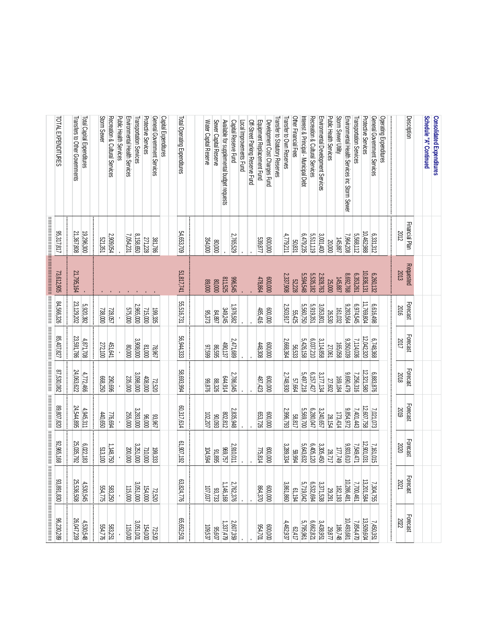| 882'022'98 | 93,891,830 | <br> <br> <br> <br> <br>92,965,168 | <br> <br> <br> <br> <br> <br>028'108'68 | 87,530,082 | <br> <br>  <br>85,407,827 | <br> <br> <br>84,566,326 | 73,612,905 | <br> <br> <br>95,317,817 | TOTAL EXPENDITURES                            |
|------------|------------|------------------------------------|-----------------------------------------|------------|---------------------------|--------------------------|------------|--------------------------|-----------------------------------------------|
|            |            |                                    |                                         |            |                           |                          |            |                          |                                               |
| 26,047,239 | 25,536,508 | 25,035,792                         | 24,544,895                              | 24,063,622 | 23,591,786                | 23,129,202               | 21,795,164 | 21,367,808               | Transfers to Other Governments                |
| 4,530,548  | 4,530,545  | 6,022,183                          | 4,945,311                               | 4,772,466  | 4,871,708                 | 5,920,392                |            | 19,296,300               | Total Capital Expenditures                    |
|            |            |                                    |                                         |            |                           |                          |            |                          |                                               |
| 554,776    | 554,775    | 513,100                            | 440,650                                 | 668,250    | 272,100                   | 738,000                  |            | 521,351                  | Storm Sewer                                   |
| 583,251    | 583,250    | 1,148,750                          | 776,694                                 | 290,696    | 451,641                   | 728,057                  |            | 2,909,054                | Recreation & Cultural Services                |
|            |            |                                    |                                         |            |                           |                          |            |                          | <b>Public Health Services</b>                 |
| 115,000    | 115,000    | 200,000                            | 255,000                                 | 235,000    | 000'08                    | 575,000                  |            | 7,054,231                | Environmental Health Services                 |
| 3,051,001  | 3,051,000  | 3,251,000                          | 3,283,000                               | 3,098,000  | 3,908,000                 | 2,965,000                |            | 8,158,650                | Transportation Services                       |
| 154,000    | 154,000    | 710,000                            | 96,000                                  | 408,000    | 81,000                    | 715,000                  |            | 271,228                  | <b>Protective Services</b>                    |
| 72,520     | 72,520     | 199,333                            | 33,967                                  | 72,520     | 78,967                    | 199,335                  |            | 381,786                  | General Government Services                   |
|            |            |                                    |                                         |            |                           |                          |            |                          | Capital Expenditures                          |
|            |            |                                    |                                         |            |                           |                          |            |                          |                                               |
| 65,652,501 | 63,824,776 | 61,907,192                         | 60,317,614                              | 58,693,994 | 56,944,333                | 55,516,731               | 51,817,741 | 54,653,709               | Total Operating Expenditures                  |
|            |            |                                    |                                         |            |                           |                          |            |                          |                                               |
| 109,537    | 107,037    | 104,594                            | 102,207                                 | 928'66     | 87,599                    | <b>95,373</b>            | 89,000     | 354,000                  | Water Capital Reserve                         |
| 36,607     | 83,733     | 31,895                             | 80'063                                  | 88,326     | 86,595                    | 84,897                   | 80,000     | 000'08                   | Sewer Capital Reserve                         |
| 1,337,479  | 1,146,168  | 369,757                            | 802,812                                 | 644,914    | 490,137                   | 349,245                  | 811,525    |                          | Available for supplemental budget requests    |
| 2,607,359  | 2,762,376  | 2,910,011                          | 2,835,948                               | 2,786,045  | 2,471,689                 | 1,976,582                | 996,545    | 2,765,529                | Capital Reserve Fund                          |
|            |            |                                    |                                         |            |                           |                          |            |                          | Local Improvements Fund                       |
|            |            |                                    |                                         |            |                           |                          |            |                          | Off-Street Parking Reserve Fund               |
| 954,701    | 864,370    | 775,814                            | 653,726                                 | 487,423    | 448,308                   | 485,416                  | 478,864    | 539,877                  | Equipment Replacement Fund                    |
| 000'009    | 000'009    | 000'009                            | 000'009                                 | 000'009    | 000'009                   | 000'009                  | 000'009    | 000'009                  | Development Cost Charges Fund                 |
|            |            |                                    |                                         |            |                           |                          |            |                          | Transfer to Statutory Reserves                |
| 4,462,937  | 3,861,860  | 3,289,334                          | 2,996,793                               | 2,748,930  | 2,668,364                 | 2,503,917                | 2,337,908  | 4,779,211                | Transfer to Own Reserves                      |
| 62,417     | 61,194     | 59,994                             | 58,817                                  | 57,664     | 56,533                    | 55,425                   | 52,228     | 50,831                   | Other Financial Fees                          |
| 5,795,961  | 5,719,042  | 6,405,120<br>5,643,632             | 5,569,700                               | 5,497,218  | 5,426,158                 | 5,560,750                | 5,594,548  | 6,479,235                | Interest & Principal - Municipal Debt         |
| 6,662,821  | 6,532,694  |                                    | 6,280,047                               | 6,157,427  | 6,037,210                 | 5,919,351                | 5,535,182  | 5,511,119                | Recreation & Cutural Services                 |
| 3,438,951  | 3,371,538  | 3,305,450                          | 3,240,657                               | 3,177,134  | 3,114,858                 | 3,053,801                | 2,928,763  | 3,001,400                | Environmental Development Services            |
| 29,877     | 29,291     | 28,717                             | 28,154                                  | 27,602     | 27,061                    | 26,530                   | 25,000     | 20,000                   | Public Health Services                        |
| 186,748    | 182,193    | 6t/1/1                             | 173,414                                 | 169,184    | 165,058                   | 161,032                  | 145,887    | 145,887                  | Storm Sewer Utility                           |
| 10,493,681 | 10,286,481 | 9,933,610                          | 9,854,972                               | 9,690,479  | 9,350,039                 | 9,283,564                | 8,692,768  | 7,964,208                | Environmental Health Services inc Storm Sewer |
| 7,854,470  | 7,700,461  | 7,549,471                          | 7,401,443                               | 7,256,316  | 7,114,036                 | 6,974,545                | 6,353,261  | 5,568,112                | Transportation Services                       |
| 13,509,604 | 13,201,584 | 12,901,031                         | 12,607,758                              | 12,321,580 | 12,042,320                | 11,769,804               | 10,836,131 | 10,462,988               | <b>Protective Services</b>                    |
| 7,450,351  | 7,304,755  | 7,161,015                          | 7,021,073                               | 6,883,876  | 6,748,368                 | 6,616,498                | 6,260,132  | 6,331,312                | General Government Services                   |
|            |            |                                    |                                         |            |                           |                          |            |                          | Operating Expenditures                        |
| 2022       | 2021       | 2020                               | 2019                                    | 2018       | 2017                      | 2016                     | 2013       | 2012                     |                                               |
| Forecast   | Forecast   | Forecast                           | Forecast                                | Forecast   | Forecast                  | Forecast                 | Requested  | Financial Plan           | <b>Description</b>                            |
|            |            |                                    |                                         |            |                           |                          |            |                          |                                               |
|            |            |                                    |                                         |            |                           |                          |            |                          | Schedule "A" Continued                        |
|            |            |                                    |                                         |            |                           |                          |            |                          | <b>Consolidated Expenditures</b>              |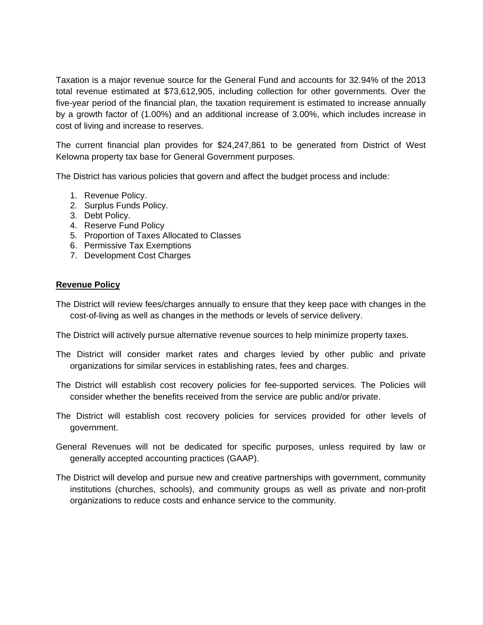Taxation is a major revenue source for the General Fund and accounts for 32.94% of the 2013 total revenue estimated at \$73,612,905, including collection for other governments. Over the five-year period of the financial plan, the taxation requirement is estimated to increase annually by a growth factor of (1.00%) and an additional increase of 3.00%, which includes increase in cost of living and increase to reserves.

The current financial plan provides for \$24,247,861 to be generated from District of West Kelowna property tax base for General Government purposes.

The District has various policies that govern and affect the budget process and include:

- 1. Revenue Policy.
- 2. Surplus Funds Policy.
- 3. Debt Policy.
- 4. Reserve Fund Policy
- 5. Proportion of Taxes Allocated to Classes
- 6. Permissive Tax Exemptions
- 7. Development Cost Charges

## **Revenue Policy**

The District will review fees/charges annually to ensure that they keep pace with changes in the cost-of-living as well as changes in the methods or levels of service delivery.

The District will actively pursue alternative revenue sources to help minimize property taxes.

- The District will consider market rates and charges levied by other public and private organizations for similar services in establishing rates, fees and charges.
- The District will establish cost recovery policies for fee-supported services. The Policies will consider whether the benefits received from the service are public and/or private.
- The District will establish cost recovery policies for services provided for other levels of government.
- General Revenues will not be dedicated for specific purposes, unless required by law or generally accepted accounting practices (GAAP).
- The District will develop and pursue new and creative partnerships with government, community institutions (churches, schools), and community groups as well as private and non-profit organizations to reduce costs and enhance service to the community.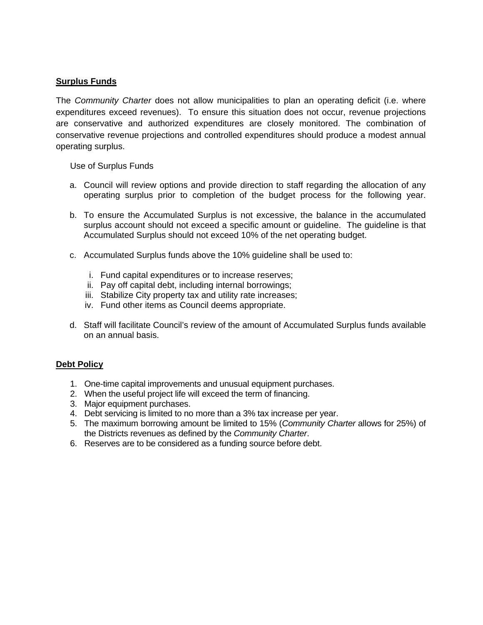## **Surplus Funds**

The *Community Charter* does not allow municipalities to plan an operating deficit (i.e. where expenditures exceed revenues). To ensure this situation does not occur, revenue projections are conservative and authorized expenditures are closely monitored. The combination of conservative revenue projections and controlled expenditures should produce a modest annual operating surplus.

Use of Surplus Funds

- a. Council will review options and provide direction to staff regarding the allocation of any operating surplus prior to completion of the budget process for the following year.
- b. To ensure the Accumulated Surplus is not excessive, the balance in the accumulated surplus account should not exceed a specific amount or guideline. The guideline is that Accumulated Surplus should not exceed 10% of the net operating budget.
- c. Accumulated Surplus funds above the 10% guideline shall be used to:
	- i. Fund capital expenditures or to increase reserves;
	- ii. Pay off capital debt, including internal borrowings;
	- iii. Stabilize City property tax and utility rate increases;
	- iv. Fund other items as Council deems appropriate.
- d. Staff will facilitate Council's review of the amount of Accumulated Surplus funds available on an annual basis.

## **Debt Policy**

- 1. One-time capital improvements and unusual equipment purchases.
- 2. When the useful project life will exceed the term of financing.
- 3. Major equipment purchases.
- 4. Debt servicing is limited to no more than a 3% tax increase per year.
- 5. The maximum borrowing amount be limited to 15% (*Community Charter* allows for 25%) of the Districts revenues as defined by the *Community Charter*.
- 6. Reserves are to be considered as a funding source before debt.